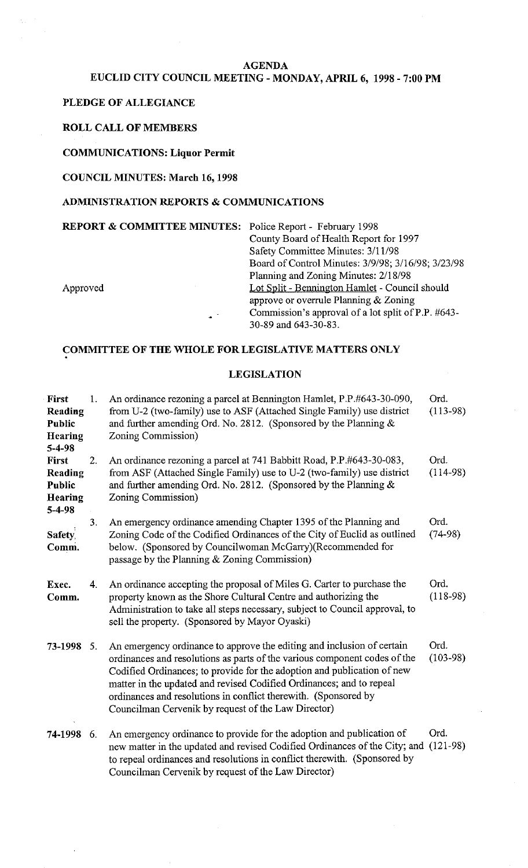#### **AGENDA**

# **EUCLID CITY COUNCIL MEETING** - **MONDAY, APRIL 6, 1998** - **7:00 PM**

#### **PLEDGE OF ALLEGIANCE**

### **ROLL CALL OF MEMBERS**

## **COMMUNICATIONS: Liquor Permit**

#### **COUNCIL MINUTES: March 16,1998**

#### **ADMINISTRATION REPORTS** & **COMMUNICATIONS**

**REPORT** & **COMMITTEE MINUTES:** Police Report - February 1998

County Board of Health Report for 1997 Safety Committee Minutes: 3/11/98 Board of Control Minutes: 3/9/98; 3/16/98; 3/23/98 Planning and Zoning Minutes: 2/18/98 Approved Lot Split - Bennington Hamlet - Council should approve or overrule Planning & Zoning Commission's approval of a lot split of P.P. #643- \* 30-89 and 643-30-83.

# **COMMITTEE OF THE WHOLE FOR LEGISLATIVE MATTERS ONLY**

#### **LEGISLATION**

| <b>First</b><br>Reading<br>Public<br>Hearing<br>$5 - 4 - 98$               | 1.  | An ordinance rezoning a parcel at Bennington Hamlet, P.P.#643-30-090,<br>from U-2 (two-family) use to ASF (Attached Single Family) use district<br>and further amending Ord. No. 2812. (Sponsored by the Planning $\&$<br>Zoning Commission)                                                                                                                                                                                     | Ord.<br>$(113-98)$ |
|----------------------------------------------------------------------------|-----|----------------------------------------------------------------------------------------------------------------------------------------------------------------------------------------------------------------------------------------------------------------------------------------------------------------------------------------------------------------------------------------------------------------------------------|--------------------|
| <b>First</b><br>Reading<br><b>Public</b><br><b>Hearing</b><br>$5 - 4 - 98$ | 2.  | An ordinance rezoning a parcel at 741 Babbitt Road, P.P.#643-30-083,<br>from ASF (Attached Single Family) use to U-2 (two-family) use district<br>and further amending Ord. No. 2812. (Sponsored by the Planning $\&$<br>Zoning Commission)                                                                                                                                                                                      | Ord.<br>$(114-98)$ |
| Safety,<br>Comm.                                                           | 3.  | An emergency ordinance amending Chapter 1395 of the Planning and<br>Zoning Code of the Codified Ordinances of the City of Euclid as outlined<br>below. (Sponsored by Councilwoman McGarry)(Recommended for<br>passage by the Planning & Zoning Commission)                                                                                                                                                                       | Ord.<br>$(74-98)$  |
| Exec.<br>Comm.                                                             | 4.  | An ordinance accepting the proposal of Miles G. Carter to purchase the<br>property known as the Shore Cultural Centre and authorizing the<br>Administration to take all steps necessary, subject to Council approval, to<br>sell the property. (Sponsored by Mayor Oyaski)                                                                                                                                                       | Ord.<br>$(118-98)$ |
| 73-1998 5.                                                                 |     | An emergency ordinance to approve the editing and inclusion of certain<br>ordinances and resolutions as parts of the various component codes of the<br>Codified Ordinances; to provide for the adoption and publication of new<br>matter in the updated and revised Codified Ordinances; and to repeal<br>ordinances and resolutions in conflict therewith. (Sponsored by<br>Councilman Cervenik by request of the Law Director) | Ord.<br>$(103-98)$ |
| 74-1998                                                                    | -6. | An emergency ordinance to provide for the adoption and publication of<br>new matter in the updated and revised Codified Ordinances of the City; and<br>to repeal ordinances and resolutions in conflict therewith. (Sponsored by<br>Councilman Cervenik by request of the Law Director)                                                                                                                                          | Ord.<br>$(121-98)$ |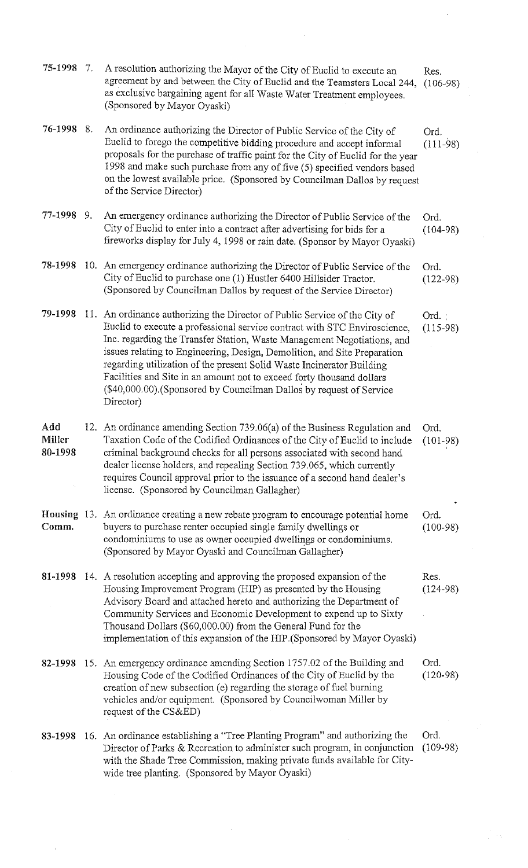| 75-1998                         | $\mathcal{I}$ . | A resolution authorizing the Mayor of the City of Euclid to execute an<br>agreement by and between the City of Euclid and the Teamsters Local 244,<br>as exclusive bargaining agent for all Waste Water Treatment employees.<br>(Sponsored by Mayor Oyaski)                                                                                                                                                                                                                                                                                           | Res.<br>$(106-98)$ |
|---------------------------------|-----------------|-------------------------------------------------------------------------------------------------------------------------------------------------------------------------------------------------------------------------------------------------------------------------------------------------------------------------------------------------------------------------------------------------------------------------------------------------------------------------------------------------------------------------------------------------------|--------------------|
| 76-1998 8.                      |                 | An ordinance authorizing the Director of Public Service of the City of<br>Euclid to forego the competitive bidding procedure and accept informal<br>proposals for the purchase of traffic paint for the City of Euclid for the year<br>1998 and make such purchase from any of five (5) specified vendors based<br>on the lowest available price. (Sponsored by Councilman Dallos by request<br>of the Service Director)                                                                                                                              | Ord.<br>$(111-98)$ |
| 77-1998 9.                      |                 | An emergency ordinance authorizing the Director of Public Service of the<br>City of Euclid to enter into a contract after advertising for bids for a<br>fireworks display for July 4, 1998 or rain date. (Sponsor by Mayor Oyaski)                                                                                                                                                                                                                                                                                                                    | Ord.<br>$(104-98)$ |
| 78-1998                         |                 | 10. An emergency ordinance authorizing the Director of Public Service of the<br>City of Euclid to purchase one (1) Hustler 6400 Hillsider Tractor.<br>(Sponsored by Councilman Dallos by request of the Service Director)                                                                                                                                                                                                                                                                                                                             | Ord.<br>$(122-98)$ |
| 79-1998                         |                 | 11. An ordinance authorizing the Director of Public Service of the City of<br>Euclid to execute a professional service contract with STC Enviroscience,<br>Inc. regarding the Transfer Station, Waste Management Negotiations, and<br>issues relating to Engineering, Design, Demolition, and Site Preparation<br>regarding utilization of the present Solid Waste Incinerator Building<br>Facilities and Site in an amount not to exceed forty thousand dollars<br>(\$40,000.00). (Sponsored by Councilman Dallos by request of Service<br>Director) | Ord.<br>$(115-98)$ |
| Add<br><b>Miller</b><br>80-1998 |                 | 12. An ordinance amending Section 739.06(a) of the Business Regulation and<br>Taxation Code of the Codified Ordinances of the City of Euclid to include<br>criminal background checks for all persons associated with second hand<br>dealer license holders, and repealing Section 739.065, which currently<br>requires Council approval prior to the issuance of a second hand dealer's<br>license. (Sponsored by Councilman Gallagher)                                                                                                              | Ord.<br>$(101-98)$ |
| Comm.                           |                 | <b>Housing</b> 13. An ordinance creating a new rebate program to encourage potential home<br>buyers to purchase renter occupied single family dwellings or<br>condominiums to use as owner occupied dwellings or condominiums.<br>(Sponsored by Mayor Oyaski and Councilman Gallagher)                                                                                                                                                                                                                                                                | Ord.<br>$(100-98)$ |
|                                 |                 | 81-1998 14. A resolution accepting and approving the proposed expansion of the<br>Housing Improvement Program (HIP) as presented by the Housing<br>Advisory Board and attached hereto and authorizing the Department of<br>Community Services and Economic Development to expend up to Sixty<br>Thousand Dollars (\$60,000.00) from the General Fund for the<br>implementation of this expansion of the HIP. (Sponsored by Mayor Oyaski)                                                                                                              | Res.<br>$(124-98)$ |
|                                 |                 | 82-1998 15. An emergency ordinance amending Section 1757.02 of the Building and<br>Housing Code of the Codified Ordinances of the City of Euclid by the<br>creation of new subsection (e) regarding the storage of fuel burning<br>vehicles and/or equipment. (Sponsored by Councilwoman Miller by<br>request of the CS&ED)                                                                                                                                                                                                                           | Ord.<br>$(120-98)$ |
| 83-1998                         |                 | 16. An ordinance establishing a "Tree Planting Program" and authorizing the<br>Director of Parks & Recreation to administer such program, in conjunction<br>with the Shade Tree Commission, making private funds available for City-<br>wide tree planting. (Sponsored by Mayor Oyaski)                                                                                                                                                                                                                                                               | Ord.<br>$(109-98)$ |

 $\mathcal{L}(\mathcal{A})$  .

 $\mathcal{L}^{\mathcal{L}}$ 

 $\frac{1}{2} \left( \frac{1}{2} \right) \frac{1}{2} \left( \frac{1}{2} \right)$